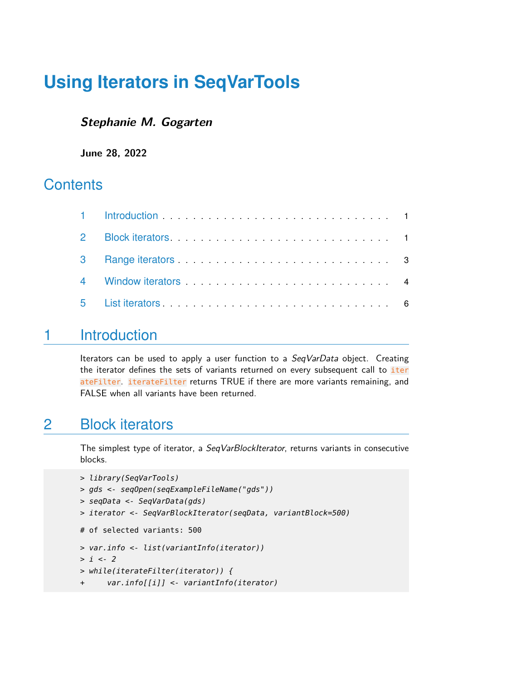# **Using Iterators in SeqVarTools**

#### **Stephanie M. Gogarten**

**June 28, 2022**

#### **Contents**

## <span id="page-0-0"></span>1 Introduction

Iterators can be used to apply a user function to a SeqVarData object. Creating the iterator defines the sets of variants returned on every subsequent call to *iter* ateFilter. iterateFilter returns TRUE if there are more variants remaining, and FALSE when all variants have been returned.

#### <span id="page-0-1"></span>2 Block iterators

The simplest type of iterator, a SeqVarBlockIterator, returns variants in consecutive blocks.

```
> library(SeqVarTools)
> gds <- seqOpen(seqExampleFileName("gds"))
> seqData <- SeqVarData(gds)
> iterator <- SeqVarBlockIterator(seqData, variantBlock=500)
```
# of selected variants: 500

```
> var.info <- list(variantInfo(iterator))
```
- $> i < -2$
- > while(iterateFilter(iterator)) {
- + var.info[[i]] <- variantInfo(iterator)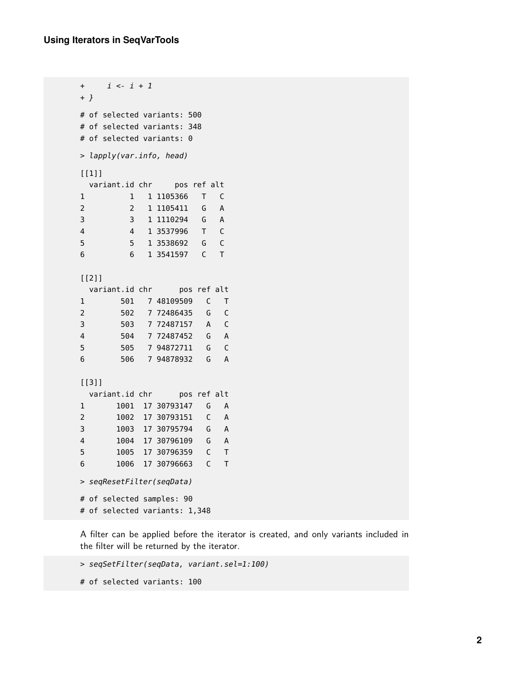```
+ i <- i + 1
+ }
# of selected variants: 500
# of selected variants: 348
# of selected variants: 0
> lapply(var.info, head)
[1]]
 variant.id chr  pos ref alt
1 1 1 1105366 T C
2 2 1 1105411 G A
3 3 1 1110294 G A
4 4 1 3537996 T C
5 5 1 3538692 G C
6 6 1 3541597 C T
[[2]]
 variant.id chr pos ref alt
1 501 7 48109509 C T
2 502 7 72486435 G C
3 503 7 72487157 A C
4 504 7 72487452 G A
5 505 7 94872711 G C
6 506 7 94878932 G A
[[3]]
 variant.id chr pos ref alt
1 1001 17 30793147 G A
2 1002 17 30793151 C A
3 1003 17 30795794 G A
4 1004 17 30796109 G A
5 1005 17 30796359 C T
6 1006 17 30796663 C T
> seqResetFilter(seqData)
# of selected samples: 90
# of selected variants: 1,348
```
A filter can be applied before the iterator is created, and only variants included in the filter will be returned by the iterator.

```
> seqSetFilter(seqData, variant.sel=1:100)
```

```
# of selected variants: 100
```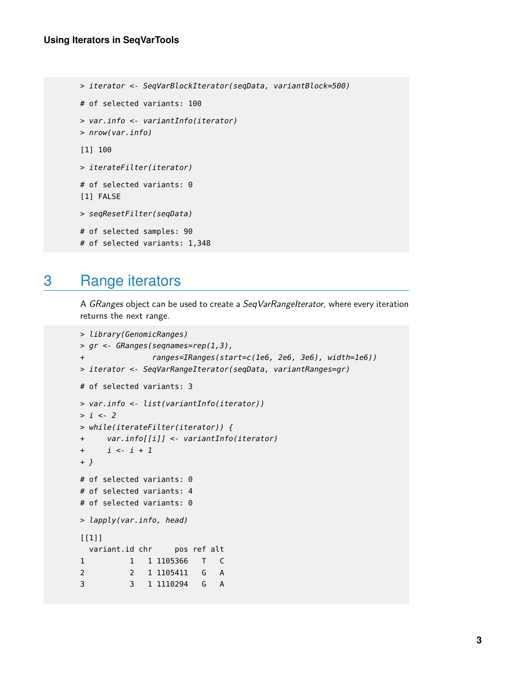```
> iterator <- SeqVarBlockIterator(seqData, variantBlock=500)
```
- # of selected variants: 100
- > var.info <- variantInfo(iterator)
- > nrow(var.info)

```
[1] 100
```
> iterateFilter(iterator)

```
# of selected variants: 0
[1] FALSE
```
> seqResetFilter(seqData)

```
# of selected samples: 90
```
<span id="page-2-0"></span># of selected variants: 1,348

## 3 Range iterators

A GRanges object can be used to create a SeqVarRangeIterator, where every iteration returns the next range.

```
> library(GenomicRanges)
> gr <- GRanges(seqnames=rep(1,3),
              ranges=IRanges(start=c(1e6, 2e6, 3e6), width=1e6))
> iterator <- SeqVarRangeIterator(seqData, variantRanges=gr)
# of selected variants: 3
> var.info <- list(variantInfo(iterator))
> i < -2> while(iterateFilter(iterator)) {
+ var.info[[i]] <- variantInfo(iterator)
+ i <- i + 1
+ }
# of selected variants: 0
# of selected variants: 4
# of selected variants: 0
> lapply(var.info, head)
[[1]]
 variant.id chr  pos ref alt
1 1 1 1105366 T C
2 2 1 1105411 G A
3 3 1 1110294 G A
```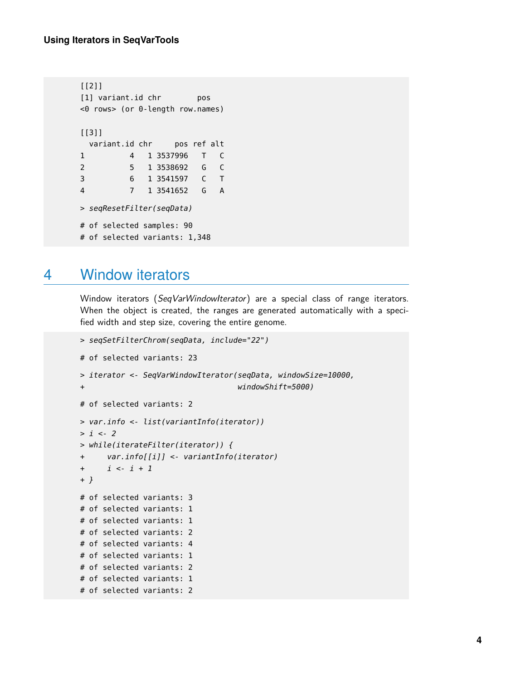```
[[2]]
[1] variant.id chr pos
<0 rows> (or 0-length row.names)
[[3]]
 variant.id chr  pos ref alt
1 4 1 3537996 T C
2 5 1 3538692 G C
3 6 1 3541597 C T
4 7 1 3541652 G A
> seqResetFilter(seqData)
# of selected samples: 90
# of selected variants: 1,348
```
#### <span id="page-3-0"></span>4 Window iterators

Window iterators (SeqVarWindowIterator) are a special class of range iterators. When the object is created, the ranges are generated automatically with a specified width and step size, covering the entire genome.

```
> seqSetFilterChrom(seqData, include="22")
# of selected variants: 23
> iterator <- SeqVarWindowIterator(seqData, windowSize=10000,
+ windowShift=5000)
# of selected variants: 2
> var.info <- list(variantInfo(iterator))
> i < -2> while(iterateFilter(iterator)) {
+ var.info[[i]] <- variantInfo(iterator)
+ i <- i + 1
+ }
# of selected variants: 3
# of selected variants: 1
# of selected variants: 1
# of selected variants: 2
# of selected variants: 4
# of selected variants: 1
# of selected variants: 2
# of selected variants: 1
# of selected variants: 2
```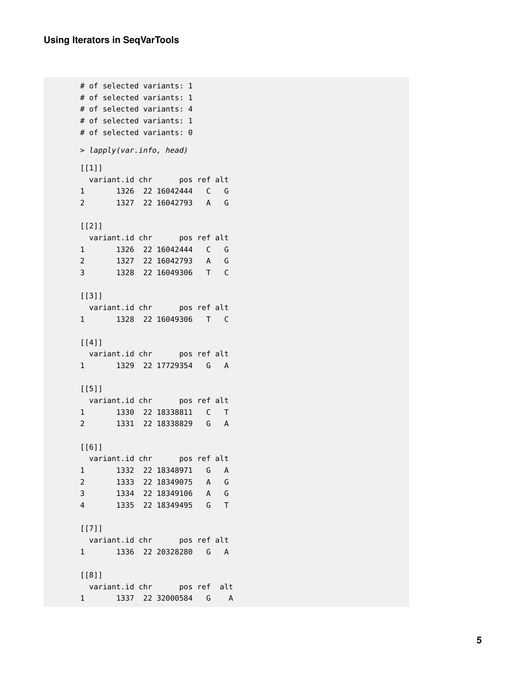```
# of selected variants: 1
# of selected variants: 1
# of selected variants: 4
# of selected variants: 1
# of selected variants: 0
> lapply(var.info, head)
[1]]
variant.id chr   pos ref alt
1 1326 22 16042444 C G
2 1327 22 16042793 A G
[[2]]
variant.id chr <br>
pos ref alt
1 1326 22 16042444 C G
2 1327 22 16042793 A G
3 1328 22 16049306 T C
[[3]]
variant.id chr   pos ref alt
1 1328 22 16049306 T C
[[4]]
variant.id chr  pos ref alt
1 1329 22 17729354 G A
[[5]]
variant.id chr   pos ref alt
1 1330 22 18338811 C T
2 1331 22 18338829 G A
[[6]]
variant.id chr  pos ref alt
1 1332 22 18348971 G A
2 1333 22 18349075 A G
3 1334 22 18349106 A G
4 1335 22 18349495 G T
[[7]]
variant.id chr pos ref alt
1 1336 22 20328280 G A
[[8]]
variant.id chr pos ref alt
1 1337 22 32000584 G A
```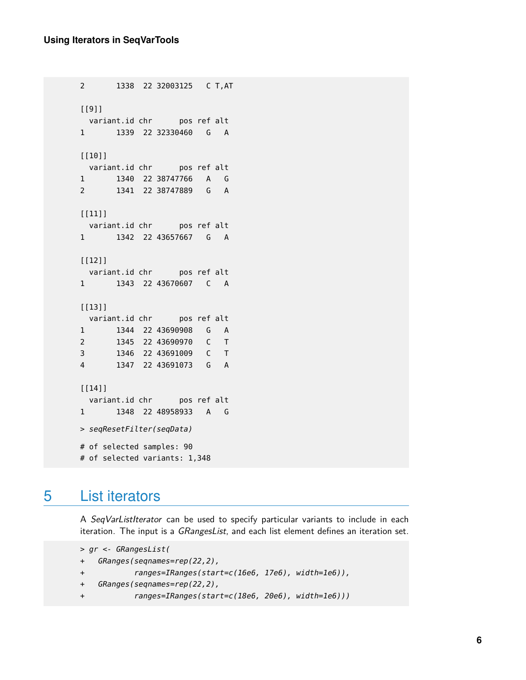```
2 1338 22 32003125 C T,AT
[[9]]
 variant.id chr pos ref alt
1 1339 22 32330460 G A
[[10]]
 variant.id chr pos ref alt
1 1340 22 38747766 A G
2 1341 22 38747889 G A
[11]]
 variant.id chr  pos ref alt
1 1342 22 43657667 G A
[[12]]
 variant.id chr  pos ref alt
1 1343 22 43670607 C A
[[13]]
 variant.id chr  pos ref alt
1 1344 22 43690908 G A
2 1345 22 43690970 C T
3 1346 22 43691009 C T
4 1347 22 43691073 G A
[[14]]
 variant.id chr pos ref alt
1 1348 22 48958933 A G
> seqResetFilter(seqData)
# of selected samples: 90
# of selected variants: 1,348
```
## <span id="page-5-0"></span>5 List iterators

A SeqVarListIterator can be used to specify particular variants to include in each iteration. The input is a *GRangesList*, and each list element defines an iteration set.

```
> gr <- GRangesList(
+ GRanges(seqnames=rep(22,2),
+ ranges=IRanges(start=c(16e6, 17e6), width=1e6)),
+ GRanges(seqnames=rep(22,2),
+ ranges=IRanges(start=c(18e6, 20e6), width=1e6)))
```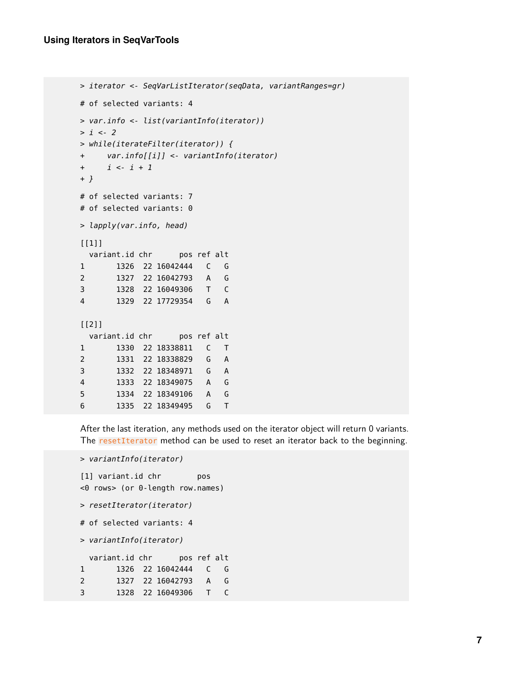```
> iterator <- SeqVarListIterator(seqData, variantRanges=gr)
# of selected variants: 4
> var.info <- list(variantInfo(iterator))
> i < -2> while(iterateFilter(iterator)) {
+ var.info[[i]] <- variantInfo(iterator)
+ i <- i + 1
+ }
# of selected variants: 7
# of selected variants: 0
> lapply(var.info, head)
[[1]]
 variant.id chr  pos ref alt
1 1326 22 16042444 C G
2 1327 22 16042793 A G
3 1328 22 16049306 T C
4 1329 22 17729354 G A
[[2]]
 variant.id chr  pos ref alt
1 1330 22 18338811 C T
2 1331 22 18338829 G A
3 1332 22 18348971 G A
4 1333 22 18349075 A G
5 1334 22 18349106 A G
6 1335 22 18349495 G T
```
After the last iteration, any methods used on the iterator object will return 0 variants. The resetIterator method can be used to reset an iterator back to the beginning.

```
> variantInfo(iterator)
```

```
[1] variant.id chr pos
<0 rows> (or 0-length row.names)
> resetIterator(iterator)
# of selected variants: 4
> variantInfo(iterator)
 variant.id chr pos ref alt
1 1326 22 16042444 C G
2 1327 22 16042793 A G
3 1328 22 16049306 T C
```